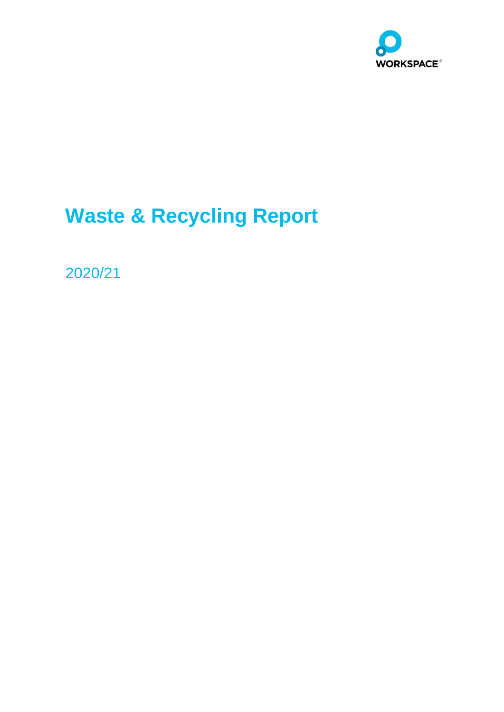

# **Waste & Recycling Report**

2020/21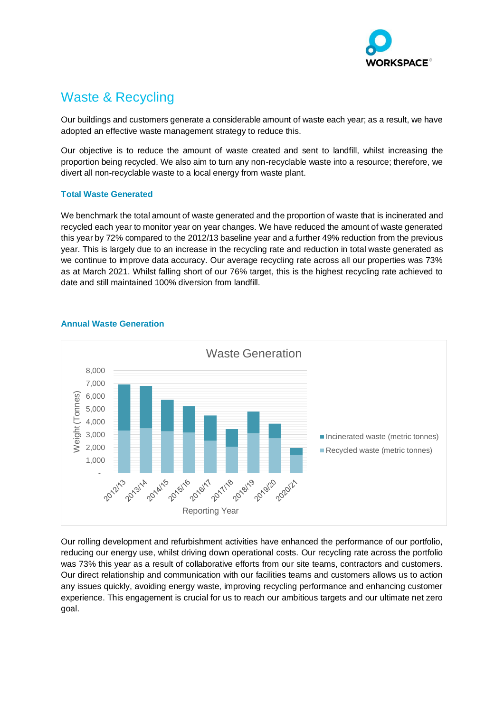

# Waste & Recycling

Our buildings and customers generate a considerable amount of waste each year; as a result, we have adopted an effective waste management strategy to reduce this.

Our objective is to reduce the amount of waste created and sent to landfill, whilst increasing the proportion being recycled. We also aim to turn any non-recyclable waste into a resource; therefore, we divert all non-recyclable waste to a local energy from waste plant.

## **Total Waste Generated**

We benchmark the total amount of waste generated and the proportion of waste that is incinerated and recycled each year to monitor year on year changes. We have reduced the amount of waste generated this year by 72% compared to the 2012/13 baseline year and a further 49% reduction from the previous year. This is largely due to an increase in the recycling rate and reduction in total waste generated as we continue to improve data accuracy. Our average recycling rate across all our properties was 73% as at March 2021. Whilst falling short of our 76% target, this is the highest recycling rate achieved to date and still maintained 100% diversion from landfill.



### **Annual Waste Generation**

Our rolling development and refurbishment activities have enhanced the performance of our portfolio, reducing our energy use, whilst driving down operational costs. Our recycling rate across the portfolio was 73% this year as a result of collaborative efforts from our site teams, contractors and customers. Our direct relationship and communication with our facilities teams and customers allows us to action any issues quickly, avoiding energy waste, improving recycling performance and enhancing customer experience. This engagement is crucial for us to reach our ambitious targets and our ultimate net zero goal.